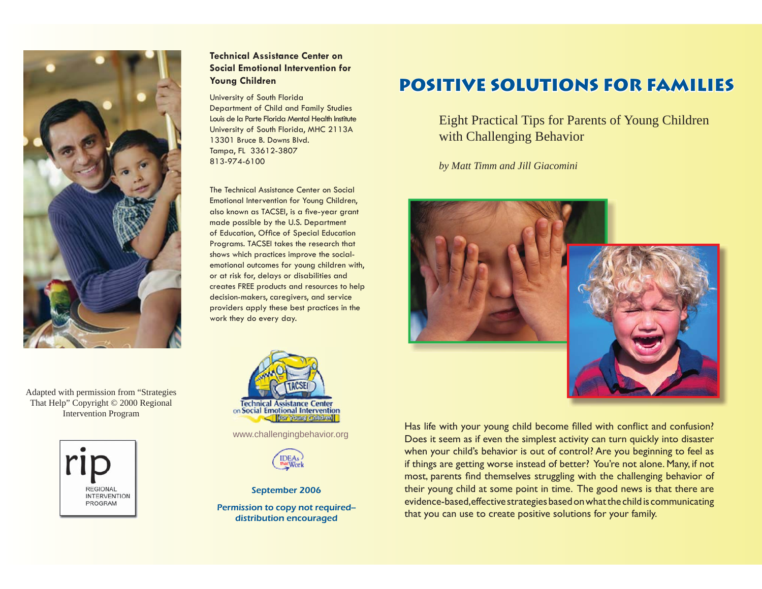

Adapted with permission from "Strategies That Help" Copyright © 2000 Regional Intervention Program



# **Technical Assistance Center on Social Emotional Intervention for Young Children**

#### University of South Florida

Department of Child and Family Studies Louis de la Parte Florida Mental Health InstituteUniversity of South Florida, MHC 2113A 13301 Bruce B. Downs Blvd.Tampa, FL 33612-3807 813-974-6100

The Technical Assistance Center on Social Emotional Intervention for Young Children, also known as TACSEI, is a five-year grant made possible by the U.S. Department of Education, Office of Special Education Programs. TACSEI takes the research that shows which practices improve the socialemotional outcomes for young children with, or at risk for, delays or disabilities and creates FREE products and resources to help decision-makers, caregivers, and service providers apply these best practices in the work they do every day.



www.challengingbehavior.org



September 2006

Permission to copy not required- distribution encouraged

# **POSITIVE SOLUTIONS FOR FAMILIES**

Eight Practical Tips for Parents of Young Children with Challenging Behavior

*by Matt Timm and Jill Giacomini* 



Has life with your young child become filled with conflict and confusion? Does it seem as if even the simplest activity can turn quickly into disaster when your child's behavior is out of control? Are you beginning to feel as if things are getting worse instead of better? You're not alone. Many, if not most, parents find themselves struggling with the challenging behavior of their young child at some point in time. The good news is that there are evidence-based, effective strategies based on what the child is communicating that you can use to create positive solutions for your family.